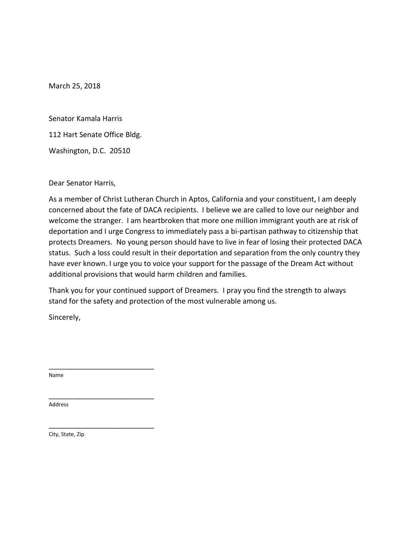Senator Kamala Harris

112 Hart Senate Office Bldg.

Washington, D.C. 20510

Dear Senator Harris,

As a member of Christ Lutheran Church in Aptos, California and your constituent, I am deeply concerned about the fate of DACA recipients. I believe we are called to love our neighbor and welcome the stranger. I am heartbroken that more one million immigrant youth are at risk of deportation and I urge Congress to immediately pass a bi-partisan pathway to citizenship that protects Dreamers. No young person should have to live in fear of losing their protected DACA status. Such a loss could result in their deportation and separation from the only country they have ever known. I urge you to voice your support for the passage of the Dream Act without additional provisions that would harm children and families.

Thank you for your continued support of Dreamers. I pray you find the strength to always stand for the safety and protection of the most vulnerable among us.

Sincerely,

\_\_\_\_\_\_\_\_\_\_\_\_\_\_\_\_\_\_\_\_\_\_\_\_\_\_

\_\_\_\_\_\_\_\_\_\_\_\_\_\_\_\_\_\_\_\_\_\_\_\_\_\_

\_\_\_\_\_\_\_\_\_\_\_\_\_\_\_\_\_\_\_\_\_\_\_\_\_\_

Name

Address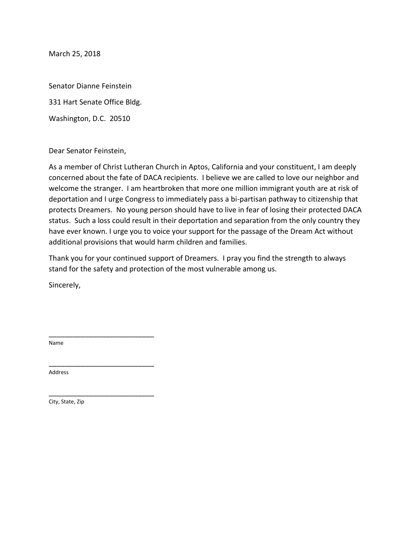Senator Dianne Feinstein

331 Hart Senate Office Bldg.

Washington, D.C. 20510

Dear Senator Feinstein,

As a member of Christ Lutheran Church in Aptos, California and your constituent, I am deeply concerned about the fate of DACA recipients. I believe we are called to love our neighbor and welcome the stranger. I am heartbroken that more one million immigrant youth are at risk of deportation and I urge Congress to immediately pass a bi-partisan pathway to citizenship that protects Dreamers. No young person should have to live in fear of losing their protected DACA status. Such a loss could result in their deportation and separation from the only country they have ever known. I urge you to voice your support for the passage of the Dream Act without additional provisions that would harm children and families.

Thank you for your continued support of Dreamers. I pray you find the strength to always stand for the safety and protection of the most vulnerable among us.

Sincerely,

\_\_\_\_\_\_\_\_\_\_\_\_\_\_\_\_\_\_\_\_\_\_\_\_\_\_

\_\_\_\_\_\_\_\_\_\_\_\_\_\_\_\_\_\_\_\_\_\_\_\_\_\_

\_\_\_\_\_\_\_\_\_\_\_\_\_\_\_\_\_\_\_\_\_\_\_\_\_\_

Name

Address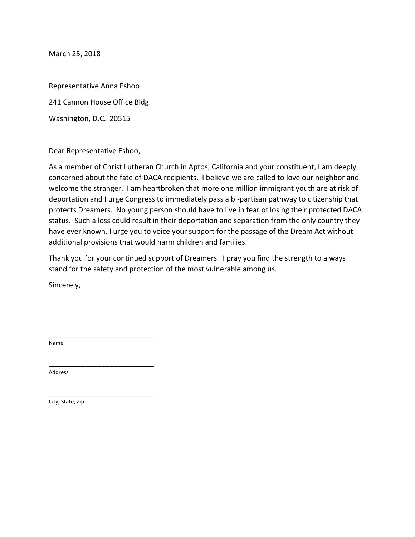Representative Anna Eshoo 241 Cannon House Office Bldg. Washington, D.C. 20515

Dear Representative Eshoo,

\_\_\_\_\_\_\_\_\_\_\_\_\_\_\_\_\_\_\_\_\_\_\_\_\_\_

\_\_\_\_\_\_\_\_\_\_\_\_\_\_\_\_\_\_\_\_\_\_\_\_\_\_

\_\_\_\_\_\_\_\_\_\_\_\_\_\_\_\_\_\_\_\_\_\_\_\_\_\_

As a member of Christ Lutheran Church in Aptos, California and your constituent, I am deeply concerned about the fate of DACA recipients. I believe we are called to love our neighbor and welcome the stranger. I am heartbroken that more one million immigrant youth are at risk of deportation and I urge Congress to immediately pass a bi-partisan pathway to citizenship that protects Dreamers. No young person should have to live in fear of losing their protected DACA status. Such a loss could result in their deportation and separation from the only country they have ever known. I urge you to voice your support for the passage of the Dream Act without additional provisions that would harm children and families.

Thank you for your continued support of Dreamers. I pray you find the strength to always stand for the safety and protection of the most vulnerable among us.

Sincerely,

Name

Address